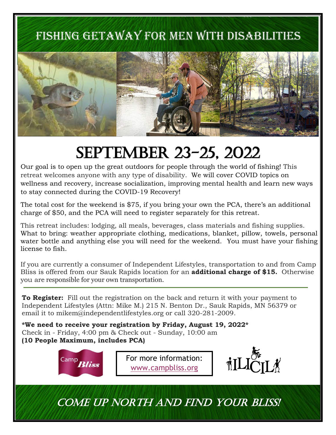### FISHING GETAWAY FOR MEN WITH DISABILITIES



## September 23-25, 2022

Our goal is to open up the great outdoors for people through the world of fishing! This retreat welcomes anyone with any type of disability. We will cover COVID topics on wellness and recovery, increase socialization, improving mental health and learn new ways to stay connected during the COVID-19 Recovery!

The total cost for the weekend is \$75, if you bring your own the PCA, there's an additional charge of \$50, and the PCA will need to register separately for this retreat.

This retreat includes: lodging, all meals, beverages, class materials and fishing supplies. What to bring: weather appropriate clothing, medications, blanket, pillow, towels, personal water bottle and anything else you will need for the weekend. You must have your fishing license to fish.

If you are currently a consumer of Independent Lifestyles, transportation to and from Camp Bliss is offered from our Sauk Rapids location for an **additional charge of \$15.** Otherwise you are responsible for your own transportation.

**To Register:** Fill out the registration on the back and return it with your payment to Independent Lifestyles (Attn: Mike M.) 215 N. Benton Dr., Sauk Rapids, MN 56379 or email it to mikem@independentlifestyles.org or call 320-281-2009.

**\*We need to receive your registration by Friday, August 19, 2022\*** Check in - Friday, 4:00 pm & Check out - Sunday, 10:00 am **(10 People Maximum, includes PCA)**



For more information: www.campbliss.org



Come up North and Find your Bliss!